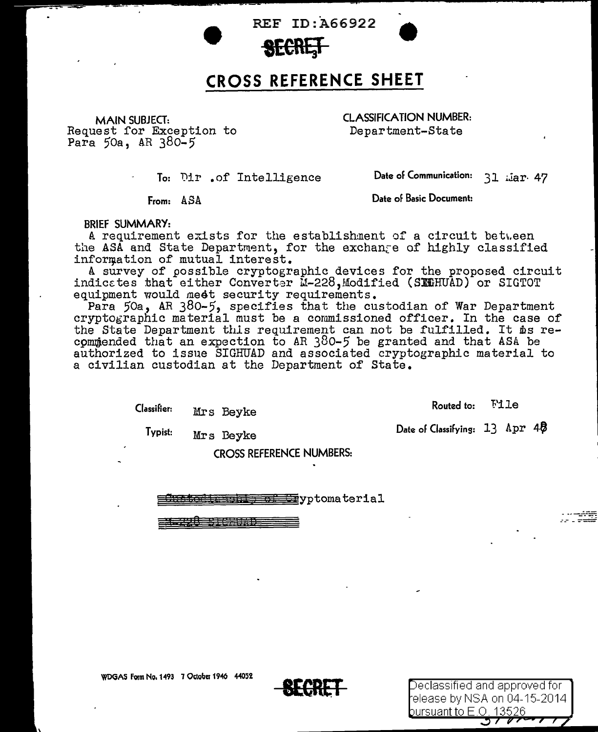REF ID:A66922



## **CROSS REFERENCE SHEET**

MAIN SUBJECT: Request for Exception to Para 50a, AR 380-5

CLASSIFICATION NUMBER: Department-State

To: Dir .of Intelligence

Date of Communication: 31 Liar. 47

From: ASA

Date of Basic Document:

BRIEF SUMMARY:

A requirement exists for the establishment of a circuit between the ASA and State Department, for the exchange of highly classified information of mutual interest.

A survey of possible cryptographic devices for the proposed circuit indicates that either Converter M-228, Modified (SEGHUAD) or SIGTOT equipment would meet security requirements.

Para 50a, AR 380-5, specifies that the custodian of War Department cryptographic material must be a commissioned officer. In the case of the State Department this requirement can not be fulfilled. It ms recommended that an expection to AR 380-5 be granted and that ASA be authorized to issue SIGHITAD and associated cryptographic material to a civilian custodian at the Department of State.

> Classifier: Mrs Beyke

Routed to: File

Date of Classifying: 13 Apr 40

Typist: Mrs Beyke

CROSS REFERENCE NUMBERS:

 $~\equiv~\equiv~$ yptomaterial

21<del>.228</del> STORES 22

\_:\_~-\_-:-~.:-..:\_=

WDGAS Form No. 1493 7 October 1946 44052



Declassified and approved for l elease by NSA on 04-15-2014 bursuant to E.O. 13526